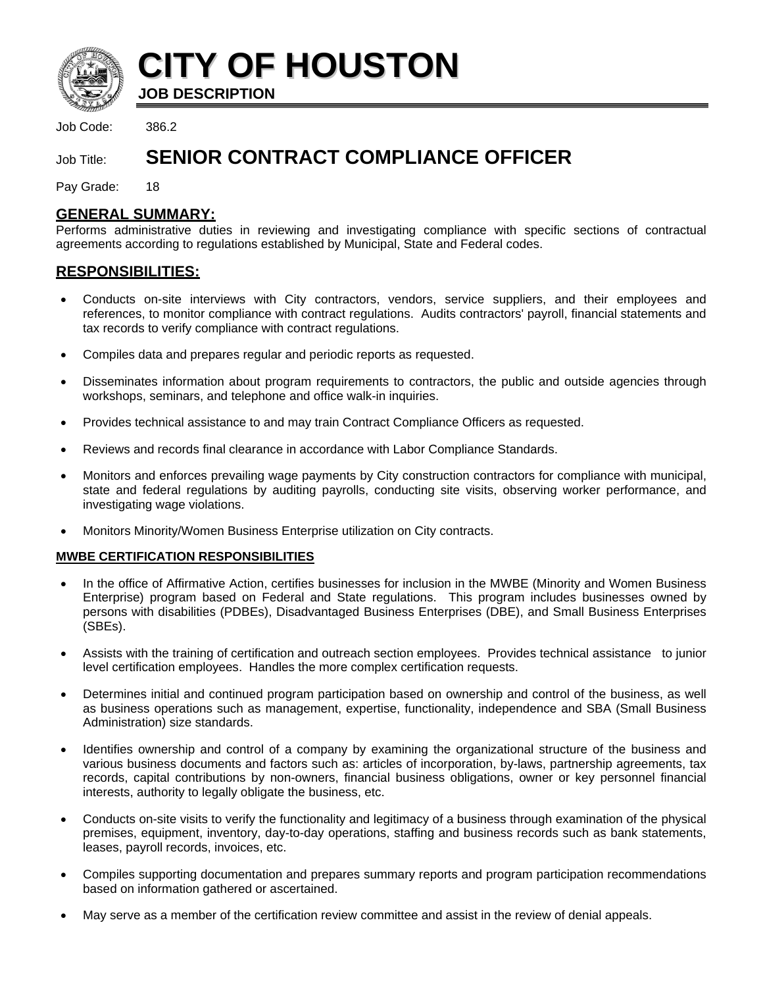

**CITY OF HOUSTON**

**JOB DESCRIPTION** 

Job Code: 386.2

# Job Title: **SENIOR CONTRACT COMPLIANCE OFFICER**

Pay Grade: 18

# **GENERAL SUMMARY:**

Performs administrative duties in reviewing and investigating compliance with specific sections of contractual agreements according to regulations established by Municipal, State and Federal codes.

# **RESPONSIBILITIES:**

- Conducts on-site interviews with City contractors, vendors, service suppliers, and their employees and references, to monitor compliance with contract regulations. Audits contractors' payroll, financial statements and tax records to verify compliance with contract regulations.
- Compiles data and prepares regular and periodic reports as requested.
- Disseminates information about program requirements to contractors, the public and outside agencies through workshops, seminars, and telephone and office walk-in inquiries.
- Provides technical assistance to and may train Contract Compliance Officers as requested.
- Reviews and records final clearance in accordance with Labor Compliance Standards.
- Monitors and enforces prevailing wage payments by City construction contractors for compliance with municipal, state and federal regulations by auditing payrolls, conducting site visits, observing worker performance, and investigating wage violations.
- Monitors Minority/Women Business Enterprise utilization on City contracts.

# **MWBE CERTIFICATION RESPONSIBILITIES**

- In the office of Affirmative Action, certifies businesses for inclusion in the MWBE (Minority and Women Business Enterprise) program based on Federal and State regulations. This program includes businesses owned by persons with disabilities (PDBEs), Disadvantaged Business Enterprises (DBE), and Small Business Enterprises (SBEs).
- Assists with the training of certification and outreach section employees. Provides technical assistance to junior level certification employees. Handles the more complex certification requests.
- Determines initial and continued program participation based on ownership and control of the business, as well as business operations such as management, expertise, functionality, independence and SBA (Small Business Administration) size standards.
- Identifies ownership and control of a company by examining the organizational structure of the business and various business documents and factors such as: articles of incorporation, by-laws, partnership agreements, tax records, capital contributions by non-owners, financial business obligations, owner or key personnel financial interests, authority to legally obligate the business, etc.
- Conducts on-site visits to verify the functionality and legitimacy of a business through examination of the physical premises, equipment, inventory, day-to-day operations, staffing and business records such as bank statements, leases, payroll records, invoices, etc.
- Compiles supporting documentation and prepares summary reports and program participation recommendations based on information gathered or ascertained.
- May serve as a member of the certification review committee and assist in the review of denial appeals.